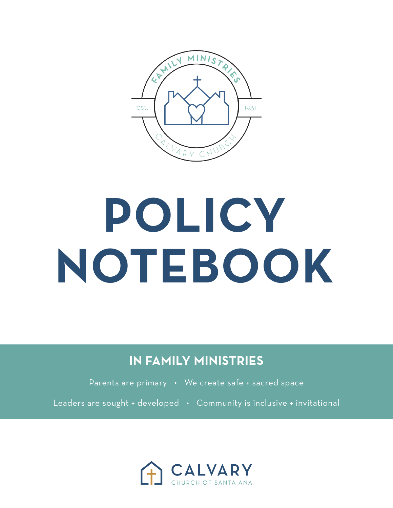

# **POLICY NOTEBOOK**

**IN FAMILY MINISTRIES**

Parents are primary • We create safe + sacred space

Leaders are sought + developed • Community is inclusive + invitational

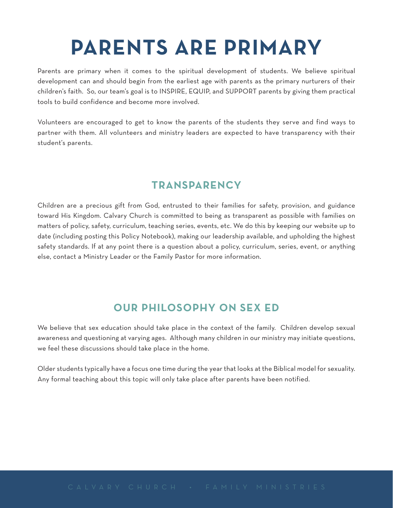### **PARENTS ARE PRIMARY**

Parents are primary when it comes to the spiritual development of students. We believe spiritual development can and should begin from the earliest age with parents as the primary nurturers of their children's faith. So, our team's goal is to INSPIRE, EQUIP, and SUPPORT parents by giving them practical tools to build confidence and become more involved.

Volunteers are encouraged to get to know the parents of the students they serve and find ways to partner with them. All volunteers and ministry leaders are expected to have transparency with their student's parents.

#### **TRANSPARENCY**

Children are a precious gift from God, entrusted to their families for safety, provision, and guidance toward His Kingdom. Calvary Church is committed to being as transparent as possible with families on matters of policy, safety, curriculum, teaching series, events, etc. We do this by keeping our website up to date (including posting this Policy Notebook), making our leadership available, and upholding the highest safety standards. If at any point there is a question about a policy, curriculum, series, event, or anything else, contact a Ministry Leader or the Family Pastor for more information.

#### **OUR PHILOSOPHY ON SEX ED**

We believe that sex education should take place in the context of the family. Children develop sexual awareness and questioning at varying ages. Although many children in our ministry may initiate questions, we feel these discussions should take place in the home.

Older students typically have a focus one time during the year that looks at the Biblical model for sexuality. Any formal teaching about this topic will only take place after parents have been notified.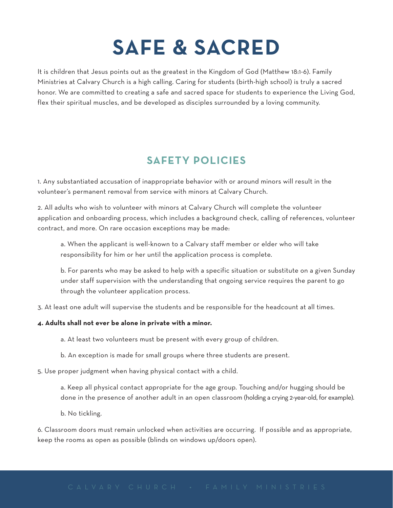### **SAFE & SACRED**

It is children that Jesus points out as the greatest in the Kingdom of God (Matthew 18:1-6). Family Ministries at Calvary Church is a high calling. Caring for students (birth-high school) is truly a sacred honor. We are committed to creating a safe and sacred space for students to experience the Living God, flex their spiritual muscles, and be developed as disciples surrounded by a loving community.

#### **SAFETY POLICIES**

1. Any substantiated accusation of inappropriate behavior with or around minors will result in the volunteer's permanent removal from service with minors at Calvary Church.

2. All adults who wish to volunteer with minors at Calvary Church will complete the volunteer application and onboarding process, which includes a background check, calling of references, volunteer contract, and more. On rare occasion exceptions may be made:

a. When the applicant is well-known to a Calvary staff member or elder who will take responsibility for him or her until the application process is complete.

b. For parents who may be asked to help with a specific situation or substitute on a given Sunday under staff supervision with the understanding that ongoing service requires the parent to go through the volunteer application process.

3. At least one adult will supervise the students and be responsible for the headcount at all times.

#### **4. Adults shall not ever be alone in private with a minor.**

a. At least two volunteers must be present with every group of children.

b. An exception is made for small groups where three students are present.

5. Use proper judgment when having physical contact with a child.

a. Keep all physical contact appropriate for the age group. Touching and/or hugging should be done in the presence of another adult in an open classroom (holding a crying 2-year-old, for example).

b. No tickling.

6. Classroom doors must remain unlocked when activities are occurring. If possible and as appropriate, keep the rooms as open as possible (blinds on windows up/doors open).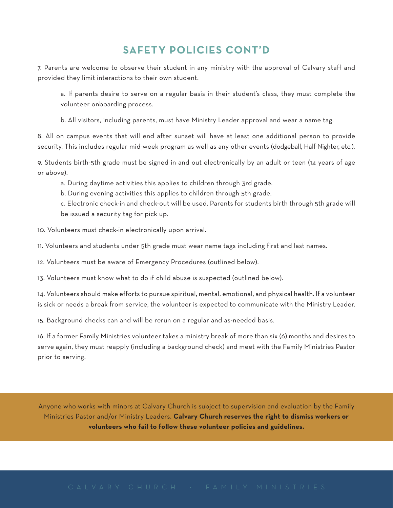#### **SAFETY POLICIES CONT'D**

7. Parents are welcome to observe their student in any ministry with the approval of Calvary staff and provided they limit interactions to their own student.

a. If parents desire to serve on a regular basis in their student's class, they must complete the volunteer onboarding process.

b. All visitors, including parents, must have Ministry Leader approval and wear a name tag.

8. All on campus events that will end after sunset will have at least one additional person to provide security. This includes regular mid-week program as well as any other events (dodgeball, Half-Nighter, etc.).

9. Students birth-5th grade must be signed in and out electronically by an adult or teen (14 years of age or above).

a. During daytime activities this applies to children through 3rd grade.

b. During evening activities this applies to children through 5th grade.

c. Electronic check-in and check-out will be used. Parents for students birth through 5th grade will be issued a security tag for pick up.

10. Volunteers must check-in electronically upon arrival.

11. Volunteers and students under 5th grade must wear name tags including first and last names.

12. Volunteers must be aware of Emergency Procedures (outlined below).

13. Volunteers must know what to do if child abuse is suspected (outlined below).

14. Volunteers should make efforts to pursue spiritual, mental, emotional, and physical health. If a volunteer is sick or needs a break from service, the volunteer is expected to communicate with the Ministry Leader.

15. Background checks can and will be rerun on a regular and as-needed basis.

16. If a former Family Ministries volunteer takes a ministry break of more than six (6) months and desires to serve again, they must reapply (including a background check) and meet with the Family Ministries Pastor prior to serving.

Anyone who works with minors at Calvary Church is subject to supervision and evaluation by the Family Ministries Pastor and/or Ministry Leaders. **Calvary Church reserves the right to dismiss workers or volunteers who fail to follow these volunteer policies and guidelines.**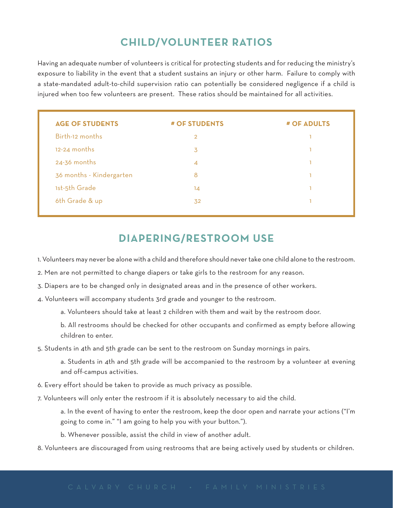#### **CHILD/VOLUNTEER RATIOS**

Having an adequate number of volunteers is critical for protecting students and for reducing the ministry's exposure to liability in the event that a student sustains an injury or other harm. Failure to comply with a state-mandated adult-to-child supervision ratio can potentially be considered negligence if a child is injured when too few volunteers are present. These ratios should be maintained for all activities.

| <b>AGE OF STUDENTS</b>   | # OF STUDENTS  | # OF ADULTS |
|--------------------------|----------------|-------------|
| Birth-12 months          | $\overline{2}$ |             |
| $12-24$ months           | 3              |             |
| $24 - 36$ months         | 4              |             |
| 36 months - Kindergarten | 8              |             |
| 1st-5th Grade            | 14             |             |
| 6th Grade & up           | 32             |             |

#### **DIAPERING/RESTROOM USE**

1. Volunteers may never be alone with a child and therefore should never take one child alone to the restroom.

- 2. Men are not permitted to change diapers or take girls to the restroom for any reason.
- 3. Diapers are to be changed only in designated areas and in the presence of other workers.
- 4. Volunteers will accompany students 3rd grade and younger to the restroom.

a. Volunteers should take at least 2 children with them and wait by the restroom door.

b. All restrooms should be checked for other occupants and confirmed as empty before allowing children to enter.

5. Students in 4th and 5th grade can be sent to the restroom on Sunday mornings in pairs.

a. Students in 4th and 5th grade will be accompanied to the restroom by a volunteer at evening and off-campus activities.

- 6. Every effort should be taken to provide as much privacy as possible.
- 7. Volunteers will only enter the restroom if it is absolutely necessary to aid the child.

a. In the event of having to enter the restroom, keep the door open and narrate your actions ("I'm going to come in." "I am going to help you with your button.").

b. Whenever possible, assist the child in view of another adult.

8. Volunteers are discouraged from using restrooms that are being actively used by students or children.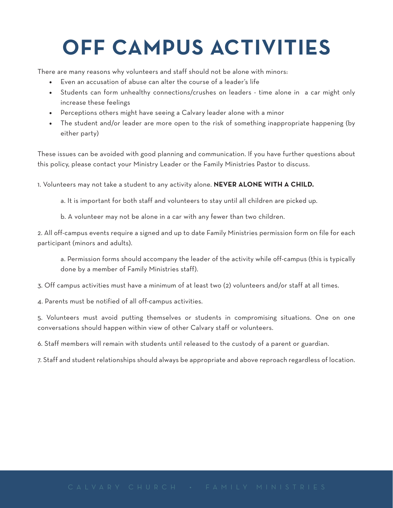### **OFF CAMPUS ACTIVITIES**

There are many reasons why volunteers and staff should not be alone with minors:

- Even an accusation of abuse can alter the course of a leader's life
- Students can form unhealthy connections/crushes on leaders time alone in a car might only increase these feelings
- Perceptions others might have seeing a Calvary leader alone with a minor
- The student and/or leader are more open to the risk of something inappropriate happening (by either party)

These issues can be avoided with good planning and communication. If you have further questions about this policy, please contact your Ministry Leader or the Family Ministries Pastor to discuss.

1. Volunteers may not take a student to any activity alone. **NEVER ALONE WITH A CHILD.**

a. It is important for both staff and volunteers to stay until all children are picked up.

b. A volunteer may not be alone in a car with any fewer than two children.

2. All off-campus events require a signed and up to date Family Ministries permission form on file for each participant (minors and adults).

a. Permission forms should accompany the leader of the activity while off-campus (this is typically done by a member of Family Ministries staff).

3. Off campus activities must have a minimum of at least two (2) volunteers and/or staff at all times.

4. Parents must be notified of all off-campus activities.

5. Volunteers must avoid putting themselves or students in compromising situations. One on one conversations should happen within view of other Calvary staff or volunteers.

6. Staff members will remain with students until released to the custody of a parent or guardian.

7. Staff and student relationships should always be appropriate and above reproach regardless of location.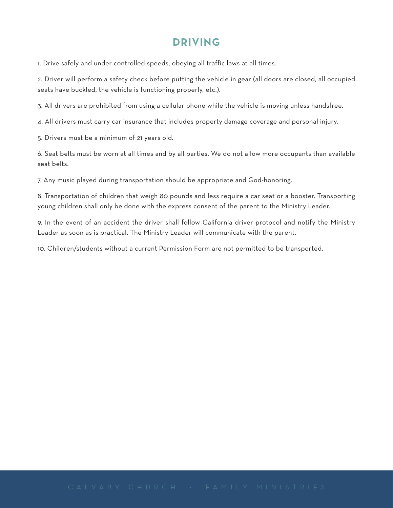#### **DRIVING**

1. Drive safely and under controlled speeds, obeying all traffic laws at all times.

2. Driver will perform a safety check before putting the vehicle in gear (all doors are closed, all occupied seats have buckled, the vehicle is functioning properly, etc.).

3. All drivers are prohibited from using a cellular phone while the vehicle is moving unless handsfree.

4. All drivers must carry car insurance that includes property damage coverage and personal injury.

5. Drivers must be a minimum of 21 years old.

6. Seat belts must be worn at all times and by all parties. We do not allow more occupants than available seat belts.

7. Any music played during transportation should be appropriate and God-honoring.

8. Transportation of children that weigh 80 pounds and less require a car seat or a booster. Transporting young children shall only be done with the express consent of the parent to the Ministry Leader.

9. In the event of an accident the driver shall follow California driver protocol and notify the Ministry Leader as soon as is practical. The Ministry Leader will communicate with the parent.

10. Children/students without a current Permission Form are not permitted to be transported.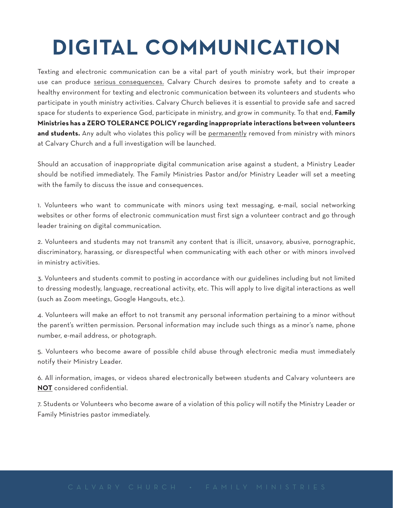### **DIGITAL COMMUNICATION**

Texting and electronic communication can be a vital part of youth ministry work, but their improper use can produce serious consequences. Calvary Church desires to promote safety and to create a healthy environment for texting and electronic communication between its volunteers and students who participate in youth ministry activities. Calvary Church believes it is essential to provide safe and sacred space for students to experience God, participate in ministry, and grow in community. To that end, **Family Ministries has a ZERO TOLERANCE POLICY regarding inappropriate interactions between volunteers**  and students. Any adult who violates this policy will be permanently removed from ministry with minors at Calvary Church and a full investigation will be launched.

Should an accusation of inappropriate digital communication arise against a student, a Ministry Leader should be notified immediately. The Family Ministries Pastor and/or Ministry Leader will set a meeting with the family to discuss the issue and consequences.

1. Volunteers who want to communicate with minors using text messaging, e-mail, social networking websites or other forms of electronic communication must first sign a volunteer contract and go through leader training on digital communication.

2. Volunteers and students may not transmit any content that is illicit, unsavory, abusive, pornographic, discriminatory, harassing, or disrespectful when communicating with each other or with minors involved in ministry activities.

3. Volunteers and students commit to posting in accordance with our guidelines including but not limited to dressing modestly, language, recreational activity, etc. This will apply to live digital interactions as well (such as Zoom meetings, Google Hangouts, etc.).

4. Volunteers will make an effort to not transmit any personal information pertaining to a minor without the parent's written permission. Personal information may include such things as a minor's name, phone number, e-mail address, or photograph.

5. Volunteers who become aware of possible child abuse through electronic media must immediately notify their Ministry Leader.

6. All information, images, or videos shared electronically between students and Calvary volunteers are **NOT** considered confidential.

7. Students or Volunteers who become aware of a violation of this policy will notify the Ministry Leader or Family Ministries pastor immediately.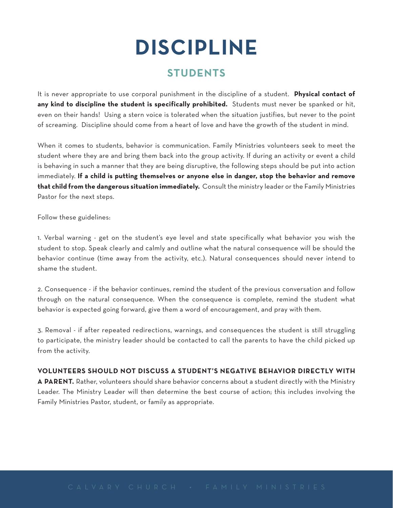### **DISCIPLINE**

#### **STUDENTS**

It is never appropriate to use corporal punishment in the discipline of a student. **Physical contact of any kind to discipline the student is specifically prohibited.** Students must never be spanked or hit, even on their hands! Using a stern voice is tolerated when the situation justifies, but never to the point of screaming. Discipline should come from a heart of love and have the growth of the student in mind.

When it comes to students, behavior is communication. Family Ministries volunteers seek to meet the student where they are and bring them back into the group activity. If during an activity or event a child is behaving in such a manner that they are being disruptive, the following steps should be put into action immediately. **If a child is putting themselves or anyone else in danger, stop the behavior and remove that child from the dangerous situation immediately.** Consult the ministry leader or the Family Ministries Pastor for the next steps.

Follow these guidelines:

1. Verbal warning - get on the student's eye level and state specifically what behavior you wish the student to stop. Speak clearly and calmly and outline what the natural consequence will be should the behavior continue (time away from the activity, etc.). Natural consequences should never intend to shame the student.

2. Consequence - if the behavior continues, remind the student of the previous conversation and follow through on the natural consequence. When the consequence is complete, remind the student what behavior is expected going forward, give them a word of encouragement, and pray with them.

3. Removal - if after repeated redirections, warnings, and consequences the student is still struggling to participate, the ministry leader should be contacted to call the parents to have the child picked up from the activity.

#### **VOLUNTEERS SHOULD NOT DISCUSS A STUDENT'S NEGATIVE BEHAVIOR DIRECTLY WITH**

**A PARENT.** Rather, volunteers should share behavior concerns about a student directly with the Ministry Leader. The Ministry Leader will then determine the best course of action; this includes involving the Family Ministries Pastor, student, or family as appropriate.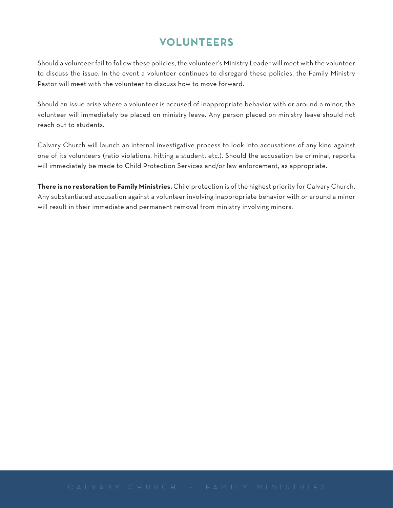#### **VOLUNTEERS**

Should a volunteer fail to follow these policies, the volunteer's Ministry Leader will meet with the volunteer to discuss the issue. In the event a volunteer continues to disregard these policies, the Family Ministry Pastor will meet with the volunteer to discuss how to move forward.

Should an issue arise where a volunteer is accused of inappropriate behavior with or around a minor, the volunteer will immediately be placed on ministry leave. Any person placed on ministry leave should not reach out to students.

Calvary Church will launch an internal investigative process to look into accusations of any kind against one of its volunteers (ratio violations, hitting a student, etc.). Should the accusation be criminal, reports will immediately be made to Child Protection Services and/or law enforcement, as appropriate.

**There is no restoration to Family Ministries.** Child protection is of the highest priority for Calvary Church. Any substantiated accusation against a volunteer involving inappropriate behavior with or around a minor will result in their immediate and permanent removal from ministry involving minors.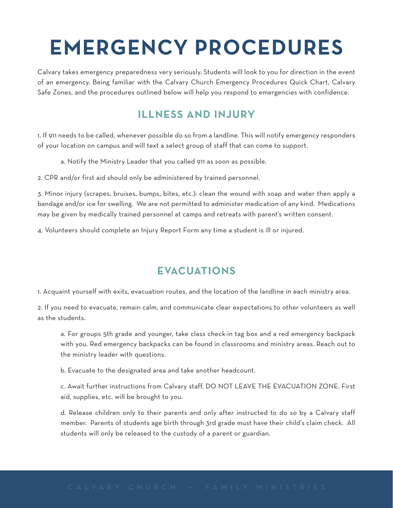### **EMERGENCY PROCEDURES**

Calvary takes emergency preparedness very seriously. Students will look to you for direction in the event of an emergency. Being familiar with the Calvary Church Emergency Procedures Quick Chart, Calvary Safe Zones, and the procedures outlined below will help you respond to emergencies with confidence.

#### **ILLNESS AND INJURY**

1. If 911 needs to be called, whenever possible do so from a landline. This will notify emergency responders of your location on campus and will text a select group of staff that can come to support.

a. Notify the Ministry Leader that you called 911 as soon as possible.

2. CPR and/or first aid should only be administered by trained personnel.

3. Minor injury (scrapes, bruises, bumps, bites, etc.): clean the wound with soap and water then apply a bandage and/or ice for swelling. We are not permitted to administer medication of any kind. Medications may be given by medically trained personnel at camps and retreats with parent's written consent.

4. Volunteers should complete an Injury Report Form any time a student is ill or injured.

#### **EVACUATIONS**

1. Acquaint yourself with exits, evacuation routes, and the location of the landline in each ministry area.

2. If you need to evacuate, remain calm, and communicate clear expectations to other volunteers as well as the students.

a. For groups 5th grade and younger, take class check-in tag box and a red emergency backpack with you. Red emergency backpacks can be found in classrooms and ministry areas. Reach out to the ministry leader with questions.

b. Evacuate to the designated area and take another headcount.

c. Await further instructions from Calvary staff. DO NOT LEAVE THE EVACUATION ZONE. First aid, supplies, etc. will be brought to you.

d. Release children only to their parents and only after instructed to do so by a Calvary staff member. Parents of students age birth through 3rd grade must have their child's claim check. All students will only be released to the custody of a parent or guardian.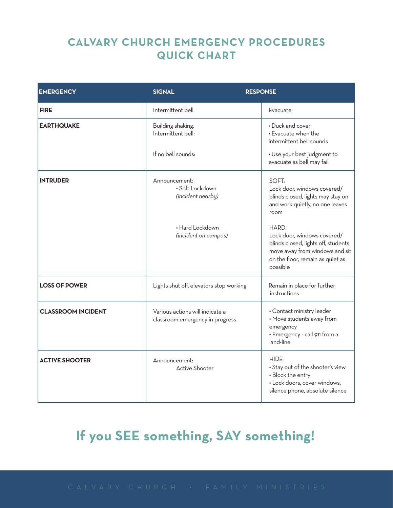#### **CALVARY CHURCH EMERGENCY PROCEDURES QUICK CHART**

| <b>EMERGENCY</b>          | <b>SIGNAL</b>                                                      | <b>RESPONSE</b>                                                                                                                                               |
|---------------------------|--------------------------------------------------------------------|---------------------------------------------------------------------------------------------------------------------------------------------------------------|
| <b>FIRE</b>               | Intermittent bell                                                  | Evacuate                                                                                                                                                      |
| <b>EARTHQUAKE</b>         | Building shaking:<br>Intermittent bell:                            | • Duck and cover<br>• Evacuate when the<br>intermittent bell sounds                                                                                           |
|                           | If no bell sounds:                                                 | • Use your best judgment to<br>evacuate as bell may fail                                                                                                      |
| <b>INTRUDER</b>           | Announcement:<br>· Soft Lockdown<br>(incident nearby)              | SOFT:<br>Lock door, windows covered/<br>blinds closed, lights may stay on<br>and work quietly, no one leaves<br>room                                          |
|                           | • Hard Lockdown<br>(incident on campus)                            | HARD:<br>Lock door, windows covered/<br>blinds closed, lights off, students<br>move away from windows and sit<br>on the floor, remain as quiet as<br>possible |
| <b>LOSS OF POWER</b>      | Lights shut off, elevators stop working                            | Remain in place for further<br>instructions                                                                                                                   |
| <b>CLASSROOM INCIDENT</b> | Various actions will indicate a<br>classroom emergency in progress | • Contact ministry leader<br>• Move students away from<br>emergency<br>· Emergency - call 911 from a<br>land-line                                             |
| <b>ACTIVE SHOOTER</b>     | Announcement:<br><b>Active Shooter</b>                             | <b>HIDE</b><br>• Stay out of the shooter's view<br>• Block the entry<br>· Lock doors, cover windows,<br>silence phone, absolute silence                       |

### **If you SEE something, SAY something!**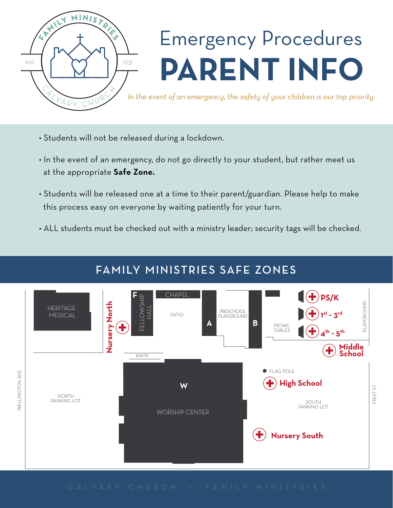

## Emergency Procedures **PARENT INFO**

*In the event of an emergency, the safety of your children is our top priority.*

- Students will not be released during a lockdown.
- In the event of an emergency, do not go directly to your student, but rather meet us at the appropriate **Safe Zone.**
- Students will be released one at a time to their parent/guardian. Please help to make this process easy on everyone by waiting patiently for your turn.
- ALL students must be checked out with a ministry leader; security tags will be checked.

#### FAMILY MINISTRIES SAFE ZONES

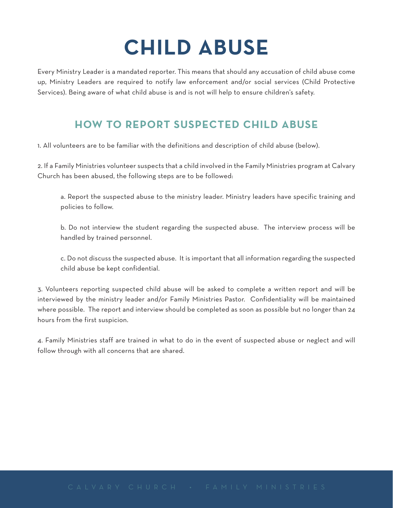### **CHILD ABUSE**

Every Ministry Leader is a mandated reporter. This means that should any accusation of child abuse come up, Ministry Leaders are required to notify law enforcement and/or social services (Child Protective Services). Being aware of what child abuse is and is not will help to ensure children's safety.

#### **HOW TO REPORT SUSPECTED CHILD ABUSE**

1. All volunteers are to be familiar with the definitions and description of child abuse (below).

2. If a Family Ministries volunteer suspects that a child involved in the Family Ministries program at Calvary Church has been abused, the following steps are to be followed:

a. Report the suspected abuse to the ministry leader. Ministry leaders have specific training and policies to follow.

b. Do not interview the student regarding the suspected abuse. The interview process will be handled by trained personnel.

c. Do not discuss the suspected abuse. It is important that all information regarding the suspected child abuse be kept confidential.

3. Volunteers reporting suspected child abuse will be asked to complete a written report and will be interviewed by the ministry leader and/or Family Ministries Pastor. Confidentiality will be maintained where possible. The report and interview should be completed as soon as possible but no longer than 24 hours from the first suspicion.

4. Family Ministries staff are trained in what to do in the event of suspected abuse or neglect and will follow through with all concerns that are shared.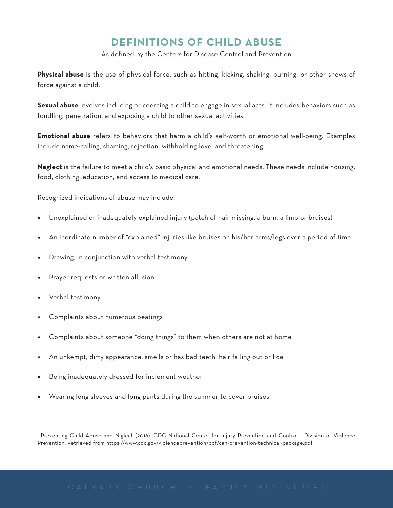#### **DEFINITIONS OF CHILD ABUSE**

As defined by the Centers for Disease Control and Prevention

**Physical abuse** is the use of physical force, such as hitting, kicking, shaking, burning, or other shows of force against a child.

**Sexual abuse** involves inducing or coercing a child to engage in sexual acts. It includes behaviors such as fondling, penetration, and exposing a child to other sexual activities.

**Emotional abuse** refers to behaviors that harm a child's self-worth or emotional well-being. Examples include name-calling, shaming, rejection, withholding love, and threatening.

**Neglect** is the failure to meet a child's basic physical and emotional needs. These needs include housing, food, clothing, education, and access to medical care.

Recognized indications of abuse may include:

- Unexplained or inadequately explained injury (patch of hair missing, a burn, a limp or bruises)
- An inordinate number of "explained" injuries like bruises on his/her arms/legs over a period of time
- Drawing, in conjunction with verbal testimony
- Prayer requests or written allusion
- Verbal testimony
- Complaints about numerous beatings
- Complaints about someone "doing things" to them when others are not at home
- An unkempt, dirty appearance, smells or has bad teeth, hair falling out or lice
- Being inadequately dressed for inclement weather
- Wearing long sleeves and long pants during the summer to cover bruises

Preventing Child Abuse and Niglect (2016). CDC National Center for Injury Prevention and Control - Division of Violence Prevention. Retrieved from https://www.cdc.gov/violenceprevention/pdf/can-prevention-technical-package.pdf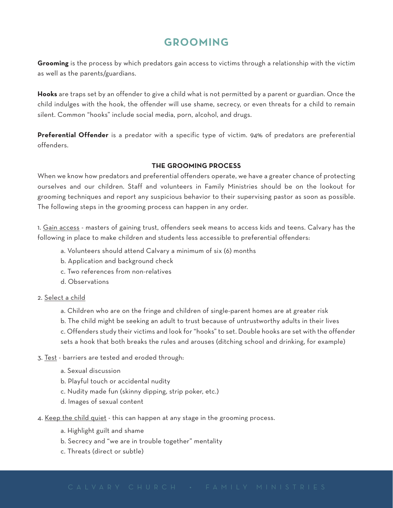#### **GROOMING**

**Grooming** is the process by which predators gain access to victims through a relationship with the victim as well as the parents/guardians.

**Hooks** are traps set by an offender to give a child what is not permitted by a parent or guardian. Once the child indulges with the hook, the offender will use shame, secrecy, or even threats for a child to remain silent. Common "hooks" include social media, porn, alcohol, and drugs.

**Preferential Offender** is a predator with a specific type of victim. 94% of predators are preferential offenders.

#### **THE GROOMING PROCESS**

When we know how predators and preferential offenders operate, we have a greater chance of protecting ourselves and our children. Staff and volunteers in Family Ministries should be on the lookout for grooming techniques and report any suspicious behavior to their supervising pastor as soon as possible. The following steps in the grooming process can happen in any order.

1. Gain access - masters of gaining trust, offenders seek means to access kids and teens. Calvary has the following in place to make children and students less accessible to preferential offenders:

- a. Volunteers should attend Calvary a minimum of six (6) months
- b. Application and background check
- c. Two references from non-relatives
- d. Observations
- 2. Select a child
	- a. Children who are on the fringe and children of single-parent homes are at greater risk b. The child might be seeking an adult to trust because of untrustworthy adults in their lives c. Offenders study their victims and look for "hooks" to set. Double hooks are set with the offender

sets a hook that both breaks the rules and arouses (ditching school and drinking, for example)

- 3. Test barriers are tested and eroded through:
	- a. Sexual discussion
	- b. Playful touch or accidental nudity
	- c. Nudity made fun (skinny dipping, strip poker, etc.)
	- d. Images of sexual content
- 4. Keep the child quiet this can happen at any stage in the grooming process.
	- a. Highlight guilt and shame
	- b. Secrecy and "we are in trouble together" mentality
	- c. Threats (direct or subtle)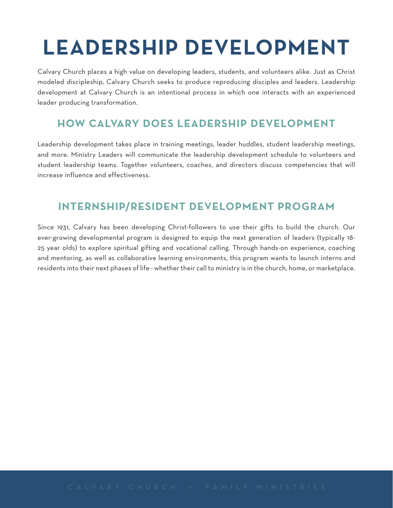### **LEADERSHIP DEVELOPMENT**

Calvary Church places a high value on developing leaders, students, and volunteers alike. Just as Christ modeled discipleship, Calvary Church seeks to produce reproducing disciples and leaders. Leadership development at Calvary Church is an intentional process in which one interacts with an experienced leader producing transformation.

#### **HOW CALVARY DOES LEADERSHIP DEVELOPMENT**

Leadership development takes place in training meetings, leader huddles, student leadership meetings, and more. Ministry Leaders will communicate the leadership development schedule to volunteers and student leadership teams. Together volunteers, coaches, and directors discuss competencies that will increase influence and effectiveness.

#### **INTERNSHIP/RESIDENT DEVELOPMENT PROGRAM**

Since 1931, Calvary has been developing Christ-followers to use their gifts to build the church. Our ever-growing developmental program is designed to equip the next generation of leaders (typically 18- 25 year olds) to explore spiritual gifting and vocational calling. Through hands-on experience, coaching and mentoring, as well as collaborative learning environments, this program wants to launch interns and residents into their next phases of life - whether their call to ministry is in the church, home, or marketplace.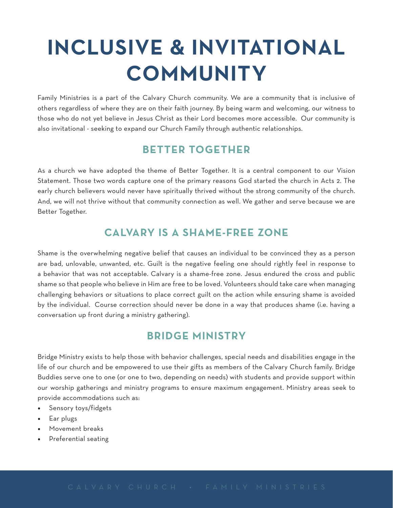### **INCLUSIVE & INVITATIONAL COMMUNITY**

Family Ministries is a part of the Calvary Church community. We are a community that is inclusive of others regardless of where they are on their faith journey. By being warm and welcoming, our witness to those who do not yet believe in Jesus Christ as their Lord becomes more accessible. Our community is also invitational - seeking to expand our Church Family through authentic relationships.

#### **BETTER TOGETHER**

As a church we have adopted the theme of Better Together. It is a central component to our Vision Statement. Those two words capture one of the primary reasons God started the church in Acts 2. The early church believers would never have spiritually thrived without the strong community of the church. And, we will not thrive without that community connection as well. We gather and serve because we are Better Together.

#### **CALVARY IS A SHAME-FREE ZONE**

Shame is the overwhelming negative belief that causes an individual to be convinced they as a person are bad, unlovable, unwanted, etc. Guilt is the negative feeling one should rightly feel in response to a behavior that was not acceptable. Calvary is a shame-free zone. Jesus endured the cross and public shame so that people who believe in Him are free to be loved. Volunteers should take care when managing challenging behaviors or situations to place correct guilt on the action while ensuring shame is avoided by the individual. Course correction should never be done in a way that produces shame (i.e. having a conversation up front during a ministry gathering).

#### **BRIDGE MINISTRY**

Bridge Ministry exists to help those with behavior challenges, special needs and disabilities engage in the life of our church and be empowered to use their gifts as members of the Calvary Church family. Bridge Buddies serve one to one (or one to two, depending on needs) with students and provide support within our worship gatherings and ministry programs to ensure maximum engagement. Ministry areas seek to provide accommodations such as:

- Sensory toys/fidgets
- Ear plugs
- Movement breaks
- Preferential seating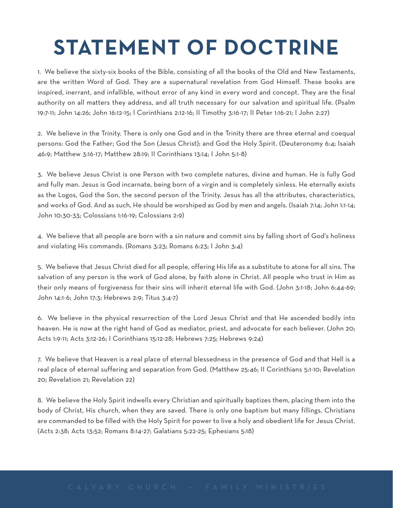### **STATEMENT OF DOCTRINE**

1. We believe the sixty-six books of the Bible, consisting of all the books of the Old and New Testaments, are the written Word of God. They are a supernatural revelation from God Himself. These books are inspired, inerrant, and infallible, without error of any kind in every word and concept. They are the final authority on all matters they address, and all truth necessary for our salvation and spiritual life. (Psalm 19:7-11; John 14:26; John 16:12-15; I Corinthians 2:12-16; II Timothy 3:16-17; II Peter 1:16-21; I John 2:27)

2. We believe in the Trinity. There is only one God and in the Trinity there are three eternal and coequal persons: God the Father; God the Son (Jesus Christ); and God the Holy Spirit. (Deuteronomy 6:4; Isaiah 46:9; Matthew 3:16-17; Matthew 28:19; II Corinthians 13:14; I John 5:1-8)

3. We believe Jesus Christ is one Person with two complete natures, divine and human. He is fully God and fully man. Jesus is God incarnate, being born of a virgin and is completely sinless. He eternally exists as the Logos, God the Son, the second person of the Trinity. Jesus has all the attributes, characteristics, and works of God. And as such, He should be worshiped as God by men and angels. (Isaiah 7:14; John 1:1-14; John 10:30-33; Colossians 1:16-19; Colossians 2:9)

4. We believe that all people are born with a sin nature and commit sins by falling short of God's holiness and violating His commands. (Romans 3:23; Romans 6:23; I John 3:4)

5. We believe that Jesus Christ died for all people, offering His life as a substitute to atone for all sins. The salvation of any person is the work of God alone, by faith alone in Christ. All people who trust in Him as their only means of forgiveness for their sins will inherit eternal life with God. (John 3:1-18; John 6:44-69; John 14:1-6; John 17:3; Hebrews 2:9; Titus 3:4-7)

6. We believe in the physical resurrection of the Lord Jesus Christ and that He ascended bodily into heaven. He is now at the right hand of God as mediator, priest, and advocate for each believer. (John 20; Acts 1:9-11; Acts 3:12-26; I Corinthians 15:12-28; Hebrews 7:25; Hebrews 9:24)

7. We believe that Heaven is a real place of eternal blessedness in the presence of God and that Hell is a real place of eternal suffering and separation from God. (Matthew 25:46; II Corinthians 5:1-10; Revelation 20; Revelation 21; Revelation 22)

8. We believe the Holy Spirit indwells every Christian and spiritually baptizes them, placing them into the body of Christ, His church, when they are saved. There is only one baptism but many fillings. Christians are commanded to be filled with the Holy Spirit for power to live a holy and obedient life for Jesus Christ. (Acts 2:38; Acts 13:52; Romans 8:14-27; Galatians 5:22-25; Ephesians 5:18)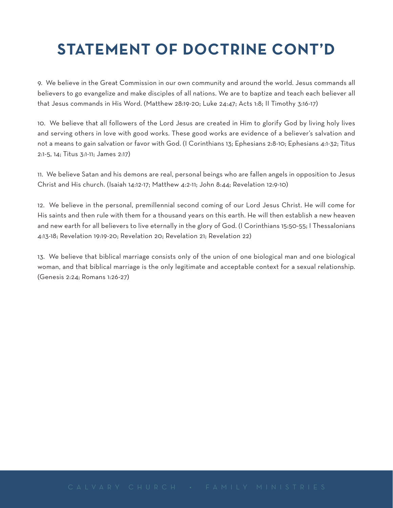### **STATEMENT OF DOCTRINE CONT'D**

9. We believe in the Great Commission in our own community and around the world. Jesus commands all believers to go evangelize and make disciples of all nations. We are to baptize and teach each believer all that Jesus commands in His Word. (Matthew 28:19-20; Luke 24:47; Acts 1:8; II Timothy 3:16-17)

10. We believe that all followers of the Lord Jesus are created in Him to glorify God by living holy lives and serving others in love with good works. These good works are evidence of a believer's salvation and not a means to gain salvation or favor with God. (I Corinthians 13; Ephesians 2:8-10; Ephesians 4:1-32; Titus 2:1-5, 14; Titus 3:1-11; James 2:17)

11. We believe Satan and his demons are real, personal beings who are fallen angels in opposition to Jesus Christ and His church. (Isaiah 14:12-17; Matthew 4:2-11; John 8:44; Revelation 12:9-10)

12. We believe in the personal, premillennial second coming of our Lord Jesus Christ. He will come for His saints and then rule with them for a thousand years on this earth. He will then establish a new heaven and new earth for all believers to live eternally in the glory of God. (I Corinthians 15:50-55; I Thessalonians 4:13-18; Revelation 19:19-20; Revelation 20; Revelation 21; Revelation 22)

13. We believe that biblical marriage consists only of the union of one biological man and one biological woman, and that biblical marriage is the only legitimate and acceptable context for a sexual relationship. (Genesis 2:24; Romans 1:26-27)